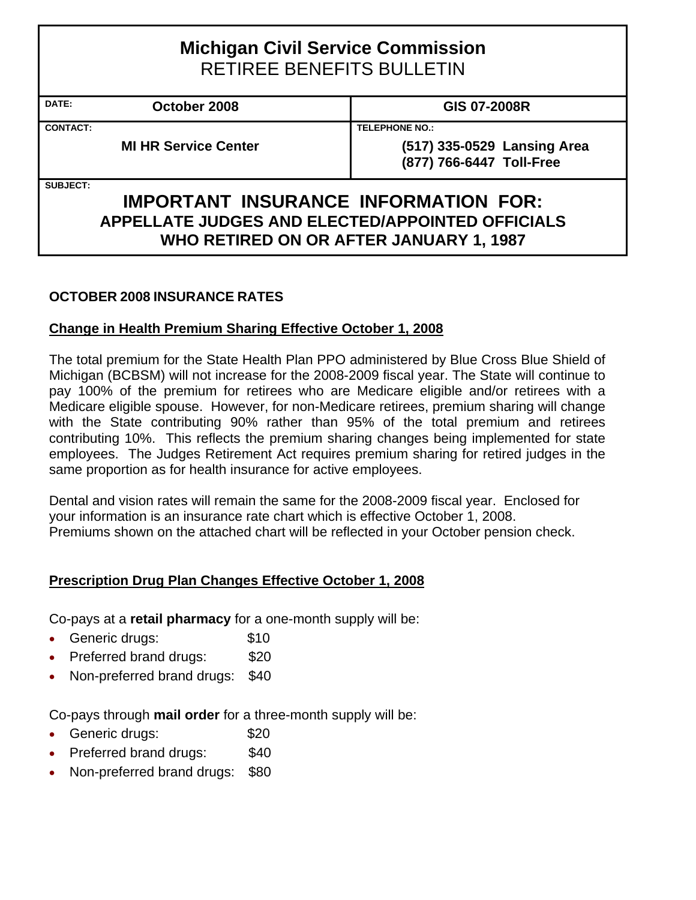## **Michigan Civil Service Commission**  RETIREE BENEFITS BULLETIN

**DATE: October 2008 GIS 07-2008R** 

**CONTACT: TELEPHONE NO.:**

**MI HR Service Center (517) 335-0529 Lansing Area (877) 766-6447 Toll-Free**

**SUBJECT:**

## **IMPORTANT INSURANCE INFORMATION FOR: APPELLATE JUDGES AND ELECTED/APPOINTED OFFICIALS WHO RETIRED ON OR AFTER JANUARY 1, 1987**

## **OCTOBER 2008 INSURANCE RATES**

## **Change in Health Premium Sharing Effective October 1, 2008**

The total premium for the State Health Plan PPO administered by Blue Cross Blue Shield of Michigan (BCBSM) will not increase for the 2008-2009 fiscal year. The State will continue to pay 100% of the premium for retirees who are Medicare eligible and/or retirees with a Medicare eligible spouse. However, for non-Medicare retirees, premium sharing will change with the State contributing 90% rather than 95% of the total premium and retirees contributing 10%. This reflects the premium sharing changes being implemented for state employees. The Judges Retirement Act requires premium sharing for retired judges in the same proportion as for health insurance for active employees.

Dental and vision rates will remain the same for the 2008-2009 fiscal year. Enclosed for your information is an insurance rate chart which is effective October 1, 2008. Premiums shown on the attached chart will be reflected in your October pension check.

## **Prescription Drug Plan Changes Effective October 1, 2008**

Co-pays at a **retail pharmacy** for a one-month supply will be:

- Generic drugs: \$10
- Preferred brand drugs: \$20
- Non-preferred brand drugs: \$40

Co-pays through **mail order** for a three-month supply will be:

- Generic drugs: \$20
- Preferred brand drugs: \$40
- Non-preferred brand drugs: \$80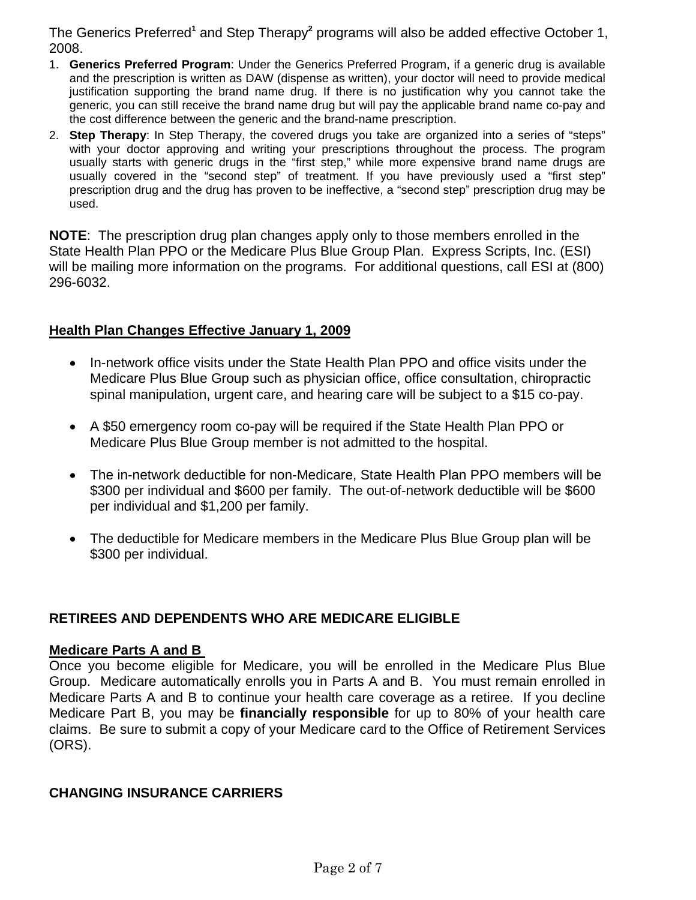The Generics Preferred<sup>1</sup> and Step Therapy<sup>2</sup> programs will also be added effective October 1, 2008.

- 1. **Generics Preferred Program**: Under the Generics Preferred Program, if a generic drug is available and the prescription is written as DAW (dispense as written), your doctor will need to provide medical justification supporting the brand name drug. If there is no justification why you cannot take the generic, you can still receive the brand name drug but will pay the applicable brand name co-pay and the cost difference between the generic and the brand-name prescription.
- 2. **Step Therapy**: In Step Therapy, the covered drugs you take are organized into a series of "steps" with your doctor approving and writing your prescriptions throughout the process. The program usually starts with generic drugs in the "first step," while more expensive brand name drugs are usually covered in the "second step" of treatment. If you have previously used a "first step" prescription drug and the drug has proven to be ineffective, a "second step" prescription drug may be used.

**NOTE**: The prescription drug plan changes apply only to those members enrolled in the State Health Plan PPO or the Medicare Plus Blue Group Plan. Express Scripts, Inc. (ESI) will be mailing more information on the programs. For additional questions, call ESI at (800) 296-6032.

## **Health Plan Changes Effective January 1, 2009**

- In-network office visits under the State Health Plan PPO and office visits under the Medicare Plus Blue Group such as physician office, office consultation, chiropractic spinal manipulation, urgent care, and hearing care will be subject to a \$15 co-pay.
- A \$50 emergency room co-pay will be required if the State Health Plan PPO or Medicare Plus Blue Group member is not admitted to the hospital.
- The in-network deductible for non-Medicare, State Health Plan PPO members will be \$300 per individual and \$600 per family. The out-of-network deductible will be \$600 per individual and \$1,200 per family.
- The deductible for Medicare members in the Medicare Plus Blue Group plan will be \$300 per individual.

## **RETIREES AND DEPENDENTS WHO ARE MEDICARE ELIGIBLE**

#### **Medicare Parts A and B**

Once you become eligible for Medicare, you will be enrolled in the Medicare Plus Blue Group. Medicare automatically enrolls you in Parts A and B. You must remain enrolled in Medicare Parts A and B to continue your health care coverage as a retiree. If you decline Medicare Part B, you may be **financially responsible** for up to 80% of your health care claims. Be sure to submit a copy of your Medicare card to the Office of Retirement Services (ORS).

## **CHANGING INSURANCE CARRIERS**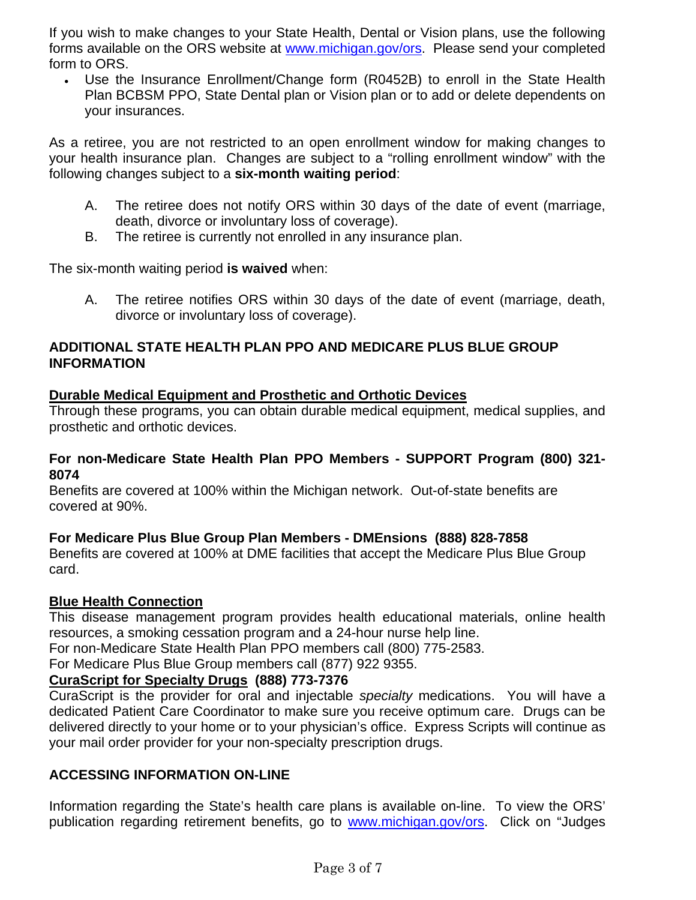If you wish to make changes to your State Health, Dental or Vision plans, use the following forms available on the ORS website at www.michigan.gov/ors. Please send your completed form to ORS.

• Use the Insurance Enrollment/Change form (R0452B) to enroll in the State Health Plan BCBSM PPO, State Dental plan or Vision plan or to add or delete dependents on your insurances.

As a retiree, you are not restricted to an open enrollment window for making changes to your health insurance plan. Changes are subject to a "rolling enrollment window" with the following changes subject to a **six-month waiting period**:

- A. The retiree does not notify ORS within 30 days of the date of event (marriage, death, divorce or involuntary loss of coverage).
- B. The retiree is currently not enrolled in any insurance plan.

The six-month waiting period **is waived** when:

A. The retiree notifies ORS within 30 days of the date of event (marriage, death, divorce or involuntary loss of coverage).

## **ADDITIONAL STATE HEALTH PLAN PPO AND MEDICARE PLUS BLUE GROUP INFORMATION**

## **Durable Medical Equipment and Prosthetic and Orthotic Devices**

Through these programs, you can obtain durable medical equipment, medical supplies, and prosthetic and orthotic devices.

#### **For non-Medicare State Health Plan PPO Members - SUPPORT Program (800) 321- 8074**

Benefits are covered at 100% within the Michigan network. Out-of-state benefits are covered at 90%.

## **For Medicare Plus Blue Group Plan Members - DMEnsions (888) 828-7858**

Benefits are covered at 100% at DME facilities that accept the Medicare Plus Blue Group card.

## **Blue Health Connection**

This disease management program provides health educational materials, online health resources, a smoking cessation program and a 24-hour nurse help line.

For non-Medicare State Health Plan PPO members call (800) 775-2583.

For Medicare Plus Blue Group members call (877) 922 9355.

## **CuraScript for Specialty Drugs (888) 773-7376**

CuraScript is the provider for oral and injectable *specialty* medications. You will have a dedicated Patient Care Coordinator to make sure you receive optimum care. Drugs can be delivered directly to your home or to your physician's office. Express Scripts will continue as your mail order provider for your non-specialty prescription drugs.

## **ACCESSING INFORMATION ON-LINE**

Information regarding the State's health care plans is available on-line. To view the ORS' publication regarding retirement benefits, go to www.michigan.gov/ors. Click on "Judges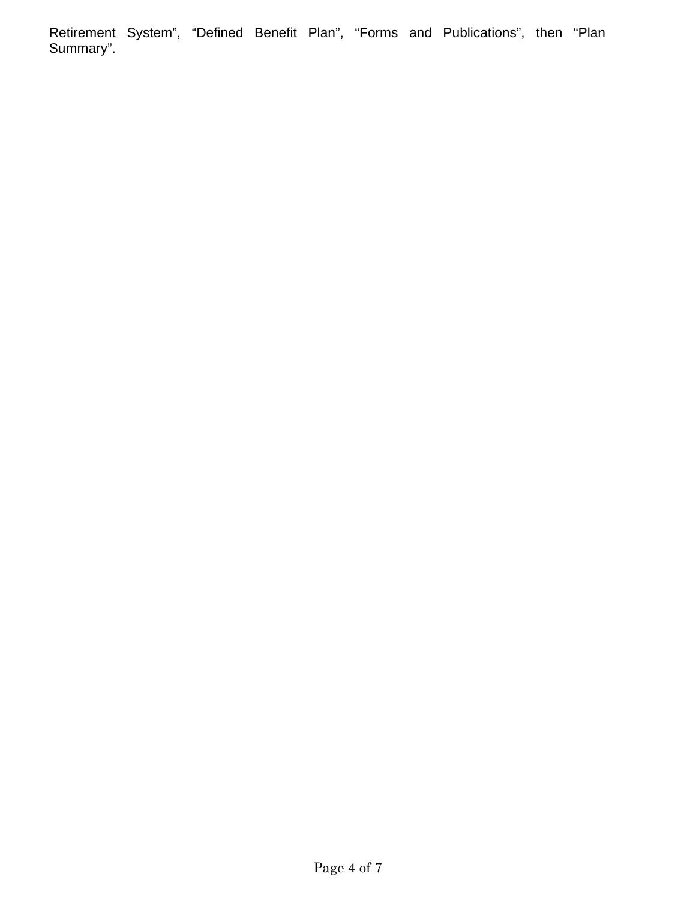Retirement System", "Defined Benefit Plan", "Forms and Publications", then "Plan Summary".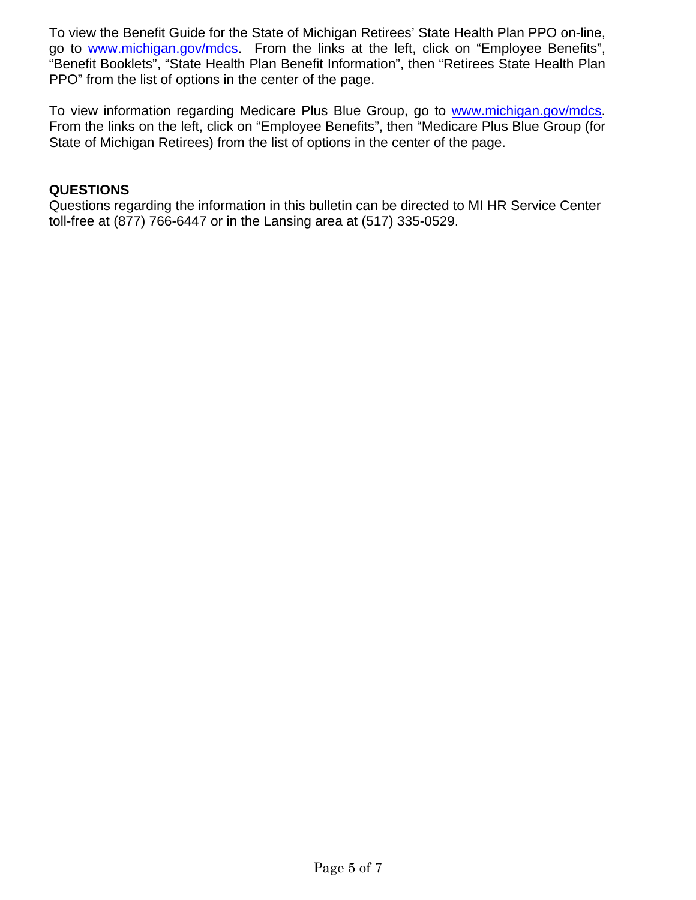To view the Benefit Guide for the State of Michigan Retirees' State Health Plan PPO on-line, go to www.michigan.gov/mdcs. From the links at the left, click on "Employee Benefits", "Benefit Booklets", "State Health Plan Benefit Information", then "Retirees State Health Plan PPO" from the list of options in the center of the page.

To view information regarding Medicare Plus Blue Group, go to [www.michigan.gov/mdcs](http://www.michigan.gov/mdcs). From the links on the left, click on "Employee Benefits", then "Medicare Plus Blue Group (for State of Michigan Retirees) from the list of options in the center of the page.

#### **QUESTIONS**

Questions regarding the information in this bulletin can be directed to MI HR Service Center toll-free at (877) 766-6447 or in the Lansing area at (517) 335-0529.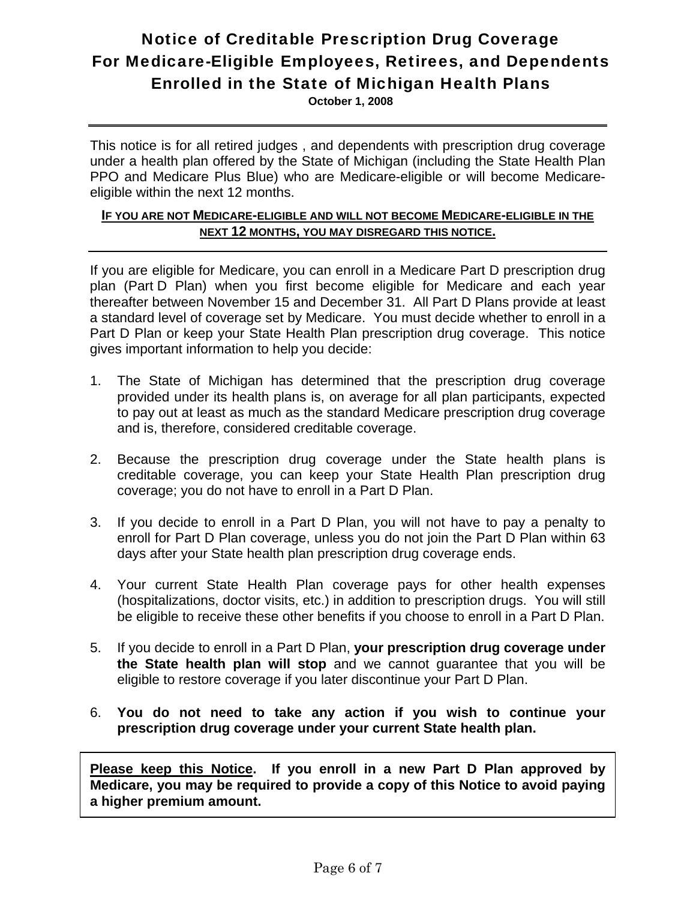# Notice of Creditable Prescription Drug Coverage For Medicare-Eligible Employees, Retirees, and Dependents Enrolled in the State of Michigan Health Plans

**October 1, 2008** 

This notice is for all retired judges , and dependents with prescription drug coverage under a health plan offered by the State of Michigan (including the State Health Plan PPO and Medicare Plus Blue) who are Medicare-eligible or will become Medicareeligible within the next 12 months.

#### **IF YOU ARE NOT MEDICARE-ELIGIBLE AND WILL NOT BECOME MEDICARE-ELIGIBLE IN THE NEXT 12 MONTHS, YOU MAY DISREGARD THIS NOTICE.**

If you are eligible for Medicare, you can enroll in a Medicare Part D prescription drug plan (Part D Plan) when you first become eligible for Medicare and each year thereafter between November 15 and December 31. All Part D Plans provide at least a standard level of coverage set by Medicare. You must decide whether to enroll in a Part D Plan or keep your State Health Plan prescription drug coverage. This notice gives important information to help you decide:

- 1. The State of Michigan has determined that the prescription drug coverage provided under its health plans is, on average for all plan participants, expected to pay out at least as much as the standard Medicare prescription drug coverage and is, therefore, considered creditable coverage.
- 2. Because the prescription drug coverage under the State health plans is creditable coverage, you can keep your State Health Plan prescription drug coverage; you do not have to enroll in a Part D Plan.
- 3. If you decide to enroll in a Part D Plan, you will not have to pay a penalty to enroll for Part D Plan coverage, unless you do not join the Part D Plan within 63 days after your State health plan prescription drug coverage ends.
- 4. Your current State Health Plan coverage pays for other health expenses (hospitalizations, doctor visits, etc.) in addition to prescription drugs. You will still be eligible to receive these other benefits if you choose to enroll in a Part D Plan.
- 5. If you decide to enroll in a Part D Plan, **your prescription drug coverage under the State health plan will stop** and we cannot guarantee that you will be eligible to restore coverage if you later discontinue your Part D Plan.
- 6. **You do not need to take any action if you wish to continue your prescription drug coverage under your current State health plan.**

**Please keep this Notice. If you enroll in a new Part D Plan approved by Medicare, you may be required to provide a copy of this Notice to avoid paying a higher premium amount.**